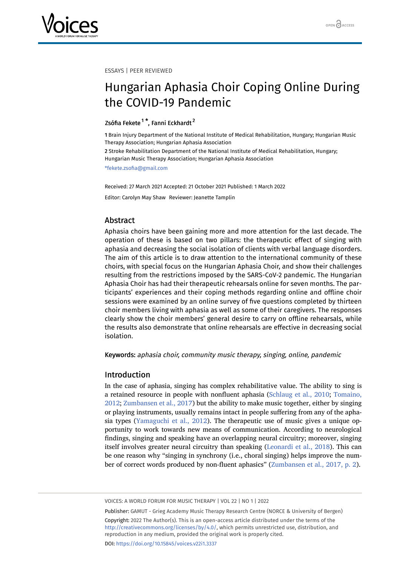

ESSAYS | PEER REVIEWED

# Hungarian Aphasia Choir Coping Online During the COVID-19 Pandemic

## Zsófia Fekete<sup> [1](#page-0-0) \*</sup>, Fanni Eckhardt <sup>[2](#page-0-1)</sup>

<span id="page-0-0"></span>1 Brain Injury Department of the National Institute of Medical Rehabilitation, Hungary; Hungarian Music Therapy Association; Hungarian Aphasia Association

<span id="page-0-1"></span>2 Stroke Rehabilitation Department of the National Institute of Medical Rehabilitation, Hungary; Hungarian Music Therapy Association; Hungarian Aphasia Association

\*fekete.zsofia@gmail.com

Received: 27 March 2021 Accepted: 21 October 2021 Published: 1 March 2022 Editor: Carolyn May Shaw Reviewer: Jeanette Tamplin

## Abstract

Aphasia choirs have been gaining more and more attention for the last decade. The operation of these is based on two pillars: the therapeutic effect of singing with aphasia and decreasing the social isolation of clients with verbal language disorders. The aim of this article is to draw attention to the international community of these choirs, with special focus on the Hungarian Aphasia Choir, and show their challenges resulting from the restrictions imposed by the SARS-CoV-2 pandemic. The Hungarian Aphasia Choir has had their therapeutic rehearsals online for seven months. The participants' experiences and their coping methods regarding online and offline choir sessions were examined by an online survey of five questions completed by thirteen choir members living with aphasia as well as some of their caregivers. The responses clearly show the choir members' general desire to carry on offline rehearsals, while the results also demonstrate that online rehearsals are effective in decreasing social isolation.

Keywords: aphasia choir, community music therapy, singing, online, pandemic

## **Introduction**

In the case of aphasia, singing has complex rehabilitative value. The ability to sing is a retained resource in people with nonfluent aphasia ([Schlaug et al., 2010](#page-8-0); [Tomaino,](#page-8-1) [2012](#page-8-1); [Zumbansen et al., 2017](#page-8-2)) but the ability to make music together, either by singing or playing instruments, usually remains intact in people suffering from any of the aphasia types ([Yamaguchi et al., 2012](#page-8-3)). The therapeutic use of music gives a unique opportunity to work towards new means of communication. According to neurological findings, singing and speaking have an overlapping neural circuitry; moreover, singing itself involves greater neural circuitry than speaking [\(Leonardi et al., 2018](#page-7-0)). This can be one reason why "singing in synchrony (i.e., choral singing) helps improve the number of correct words produced by non-fluent aphasics" ([Zumbansen et al., 2017, p. 2](#page-8-2)).

VOICES: A WORLD FORUM FOR MUSIC THERAPY | VOL 22 | NO 1 | 2022

Publisher: GAMUT - Grieg Academy Music Therapy Research Centre (NORCE & University of Bergen) Copyright: 2022 The Author(s). This is an open-access article distributed under the terms of the <http://creativecommons.org/licenses/by/4.0/>, which permits unrestricted use, distribution, and reproduction in any medium, provided the original work is properly cited. DOI: <https://doi.org/10.15845/voices.v22i1.3337>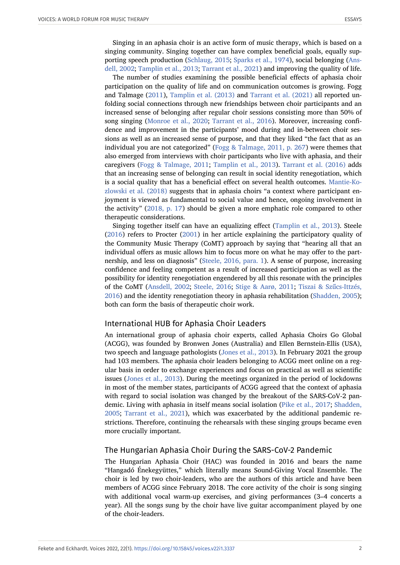Singing in an aphasia choir is an active form of music therapy, which is based on a singing community. Singing together can have complex beneficial goals, equally supporting speech production [\(Schlaug, 2015](#page-7-1); [Sparks et al., 1974\)](#page-8-4), social belonging ([Ans](#page-7-2)[dell, 2002](#page-7-2); [Tamplin et al., 2013](#page-8-5); [Tarrant et al., 2021](#page-8-6)) and improving the quality of life.

The number of studies examining the possible beneficial effects of aphasia choir participation on the quality of life and on communication outcomes is growing. Fogg and Talmage ([2011](#page-7-3)), [Tamplin et al. \(2013\)](#page-8-5) and [Tarrant et al. \(2021\)](#page-8-6) all reported unfolding social connections through new friendships between choir participants and an increased sense of belonging after regular choir sessions consisting more than 50% of song singing [\(Monroe et al., 2020](#page-7-4); [Tarrant et al., 2016\)](#page-8-7). Moreover, increasing confidence and improvement in the participants' mood during and in-between choir sessions as well as an increased sense of purpose, and that they liked "the fact that as an individual you are not categorized" [\(Fogg & Talmage, 2011, p. 267](#page-7-3)) were themes that also emerged from interviews with choir participants who live with aphasia, and their caregivers [\(Fogg & Talmage, 2011](#page-7-3); [Tamplin et al., 2013](#page-8-5)). [Tarrant et al. \(2016\)](#page-8-7) adds that an increasing sense of belonging can result in social identity renegotiation, which is a social quality that has a beneficial effect on several health outcomes. [Mantie-Ko](#page-7-5)[zlowski et al. \(2018\)](#page-7-5) suggests that in aphasia choirs "a context where participant enjoyment is viewed as fundamental to social value and hence, ongoing involvement in the activity" ([2018, p. 17](#page-7-5)) should be given a more emphatic role compared to other therapeutic considerations.

Singing together itself can have an equalizing effect ([Tamplin et al., 2013](#page-8-5)). Steele ([2016](#page-8-8)) refers to Procter [\(2001](#page-7-6)) in her article explaining the participatory quality of the Community Music Therapy (CoMT) approach by saying that "hearing all that an individual offers as music allows him to focus more on what he may offer to the partnership, and less on diagnosis" ([Steele, 2016, para. 1](#page-8-8)). A sense of purpose, increasing confidence and feeling competent as a result of increased participation as well as the possibility for identity renegotiation engendered by all this resonate with the principles of the CoMT [\(Ansdell, 2002](#page-7-2); [Steele, 2016](#page-8-8); [Stige & Aarø, 2011;](#page-8-9) [Tiszai & Szűcs-Ittzés,](#page-8-10) [2016](#page-8-10)) and the identity renegotiation theory in aphasia rehabilitation [\(Shadden, 2005](#page-8-11)); both can form the basis of therapeutic choir work.

#### International HUB for Aphasia Choir Leaders

An international group of aphasia choir experts, called Aphasia Choirs Go Global (ACGG), was founded by Bronwen Jones (Australia) and Ellen Bernstein-Ellis (USA), two speech and language pathologists [\(Jones et al., 2013](#page-7-7)). In February 2021 the group had 103 members. The aphasia choir leaders belonging to ACGG meet online on a regular basis in order to exchange experiences and focus on practical as well as scientific issues ([Jones et al., 2013\)](#page-7-7). During the meetings organized in the period of lockdowns in most of the member states, participants of ACGG agreed that the context of aphasia with regard to social isolation was changed by the breakout of the SARS-CoV-2 pandemic. Living with aphasia in itself means social isolation [\(Pike et al., 2017](#page-7-8); [Shadden,](#page-8-11) [2005](#page-8-11); [Tarrant et al., 2021\)](#page-8-6), which was exacerbated by the additional pandemic restrictions. Therefore, continuing the rehearsals with these singing groups became even more crucially important.

### The Hungarian Aphasia Choir During the SARS-CoV-2 Pandemic

The Hungarian Aphasia Choir (HAC) was founded in 2016 and bears the name "Hangadó Énekegyüttes," which literally means Sound-Giving Vocal Ensemble. The choir is led by two choir-leaders, who are the authors of this article and have been members of ACGG since February 2018. The core activity of the choir is song singing with additional vocal warm-up exercises, and giving performances (3–4 concerts a year). All the songs sung by the choir have live guitar accompaniment played by one of the choir-leaders.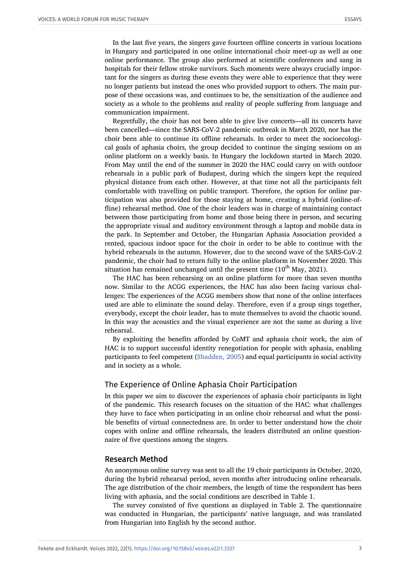In the last five years, the singers gave fourteen offline concerts in various locations in Hungary and participated in one online international choir meet-up as well as one online performance. The group also performed at scientific conferences and sang in hospitals for their fellow stroke survivors. Such moments were always crucially important for the singers as during these events they were able to experience that they were no longer patients but instead the ones who provided support to others. The main purpose of these occasions was, and continues to be, the sensitization of the audience and society as a whole to the problems and reality of people suffering from language and communication impairment.

Regretfully, the choir has not been able to give live concerts––all its concerts have been cancelled––since the SARS-CoV-2 pandemic outbreak in March 2020, nor has the choir been able to continue its offline rehearsals. In order to meet the socioecological goals of aphasia choirs, the group decided to continue the singing sessions on an online platform on a weekly basis. In Hungary the lockdown started in March 2020. From May until the end of the summer in 2020 the HAC could carry on with outdoor rehearsals in a public park of Budapest, during which the singers kept the required physical distance from each other. However, at that time not all the participants felt comfortable with travelling on public transport. Therefore, the option for online participation was also provided for those staying at home, creating a hybrid (online-offline) rehearsal method. One of the choir leaders was in charge of maintaining contact between those participating from home and those being there in person, and securing the appropriate visual and auditory environment through a laptop and mobile data in the park. In September and October, the Hungarian Aphasia Association provided a rented, spacious indoor space for the choir in order to be able to continue with the hybrid rehearsals in the autumn. However, due to the second wave of the SARS-CoV-2 pandemic, the choir had to return fully to the online platform in November 2020. This situation has remained unchanged until the present time  $(10<sup>th</sup>$  May, 2021).

The HAC has been rehearsing on an online platform for more than seven months now. Similar to the ACGG experiences, the HAC has also been facing various challenges: The experiences of the ACGG members show that none of the online interfaces used are able to eliminate the sound delay. Therefore, even if a group sings together, everybody, except the choir leader, has to mute themselves to avoid the chaotic sound. In this way the acoustics and the visual experience are not the same as during a live rehearsal.

By exploiting the benefits afforded by CoMT and aphasia choir work, the aim of HAC is to support successful identity renegotiation for people with aphasia, enabling participants to feel competent ([Shadden, 2005](#page-8-11)) and equal participants in social activity and in society as a whole.

## The Experience of Online Aphasia Choir Participation

In this paper we aim to discover the experiences of aphasia choir participants in light of the pandemic. This research focuses on the situation of the HAC: what challenges they have to face when participating in an online choir rehearsal and what the possible benefits of virtual connectedness are. In order to better understand how the choir copes with online and offline rehearsals, the leaders distributed an online questionnaire of five questions among the singers.

### Research Method

An anonymous online survey was sent to all the 19 choir participants in October, 2020, during the hybrid rehearsal period, seven months after introducing online rehearsals. The age distribution of the choir members, the length of time the respondent has been living with aphasia, and the social conditions are described in Table 1.

The survey consisted of five questions as displayed in Table 2. The questionnaire was conducted in Hungarian, the participants' native language, and was translated from Hungarian into English by the second author.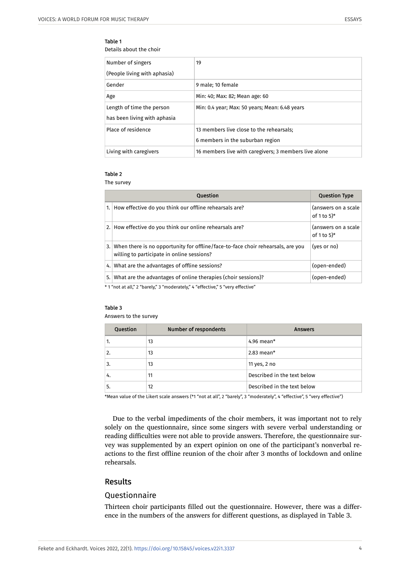#### Table 1

Details about the choir

| Number of singers<br>(People living with aphasia)         | 19                                                                           |
|-----------------------------------------------------------|------------------------------------------------------------------------------|
| Gender                                                    | 9 male; 10 female                                                            |
| Age                                                       | Min: 40; Max: 82; Mean age: 60                                               |
| Length of time the person<br>has been living with aphasia | Min: 0.4 year; Max: 50 years; Mean: 6.48 years                               |
| Place of residence                                        | 13 members live close to the rehearsals:<br>6 members in the suburban region |
| Living with caregivers                                    | 16 members live with caregivers: 3 members live alone                        |

#### Table 2

The survey

|                                                                                 | <b>Question</b>                                                                                                               | <b>Question Type</b>                             |  |
|---------------------------------------------------------------------------------|-------------------------------------------------------------------------------------------------------------------------------|--------------------------------------------------|--|
| 1.1                                                                             | How effective do you think our offline rehearsals are?                                                                        | (answers on a scale)<br>of 1 to $5$ <sup>*</sup> |  |
|                                                                                 | 2. How effective do you think our online rehearsals are?                                                                      | (answers on a scale)<br>of 1 to $5$ <sup>*</sup> |  |
| 3.1                                                                             | When there is no opportunity for offline/face-to-face choir rehearsals, are you<br>willing to participate in online sessions? | (yes or no)                                      |  |
|                                                                                 | 4. What are the advantages of offline sessions?                                                                               | (open-ended)                                     |  |
| 5.1                                                                             | What are the advantages of online therapies (choir sessions)?                                                                 | (open-ended)                                     |  |
| * 1 "not at all," 2 "barely," 3 "moderately," 4 "effective," 5 "very effective" |                                                                                                                               |                                                  |  |

#### Table 3

Answers to the survey

| Question | Number of respondents | <b>Answers</b>              |
|----------|-----------------------|-----------------------------|
|          | 13                    | $4.96$ mean*                |
| 2.       | 13                    | $2.83$ mean*                |
| 3.       | 13                    | 11 yes, 2 no                |
| 4.       | 11                    | Described in the text below |
| 5.       | 12                    | Described in the text below |

\*Mean value of the Likert scale answers (\*1 "not at all", 2 "barely", 3 "moderately", 4 "effective", 5 "very effective")

Due to the verbal impediments of the choir members, it was important not to rely solely on the questionnaire, since some singers with severe verbal understanding or reading difficulties were not able to provide answers. Therefore, the questionnaire survey was supplemented by an expert opinion on one of the participant's nonverbal reactions to the first offline reunion of the choir after 3 months of lockdown and online rehearsals.

# Results

## Questionnaire

Thirteen choir participants filled out the questionnaire. However, there was a difference in the numbers of the answers for different questions, as displayed in Table 3.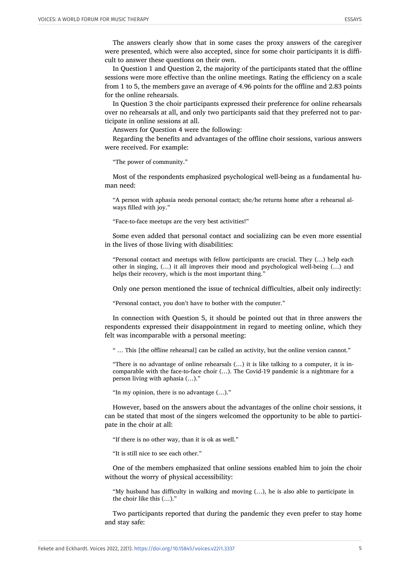In Question 1 and Question 2, the majority of the participants stated that the offline sessions were more effective than the online meetings. Rating the efficiency on a scale from 1 to 5, the members gave an average of 4.96 points for the offline and 2.83 points for the online rehearsals.

In Question 3 the choir participants expressed their preference for online rehearsals over no rehearsals at all, and only two participants said that they preferred not to participate in online sessions at all.

Answers for Question 4 were the following:

Regarding the benefits and advantages of the offline choir sessions, various answers were received. For example:

"The power of community."

Most of the respondents emphasized psychological well-being as a fundamental human need:

"A person with aphasia needs personal contact; she/he returns home after a rehearsal always filled with joy."

"Face-to-face meetups are the very best activities!"

Some even added that personal contact and socializing can be even more essential in the lives of those living with disabilities:

"Personal contact and meetups with fellow participants are crucial. They (…) help each other in singing, (…) it all improves their mood and psychological well-being (…) and helps their recovery, which is the most important thing."

Only one person mentioned the issue of technical difficulties, albeit only indirectly:

"Personal contact, you don't have to bother with the computer."

In connection with Question 5, it should be pointed out that in three answers the respondents expressed their disappointment in regard to meeting online, which they felt was incomparable with a personal meeting:

" … This [the offline rehearsal] can be called an activity, but the online version cannot."

"There is no advantage of online rehearsals (…) it is like talking to a computer, it is incomparable with the face-to-face choir (…). The Covid-19 pandemic is a nightmare for a person living with aphasia (…)."

"In my opinion, there is no advantage (…)."

However, based on the answers about the advantages of the online choir sessions, it can be stated that most of the singers welcomed the opportunity to be able to participate in the choir at all:

"If there is no other way, than it is ok as well."

"It is still nice to see each other."

One of the members emphasized that online sessions enabled him to join the choir without the worry of physical accessibility:

"My husband has difficulty in walking and moving  $(...)$ , he is also able to participate in the choir like this (…)."

Two participants reported that during the pandemic they even prefer to stay home and stay safe: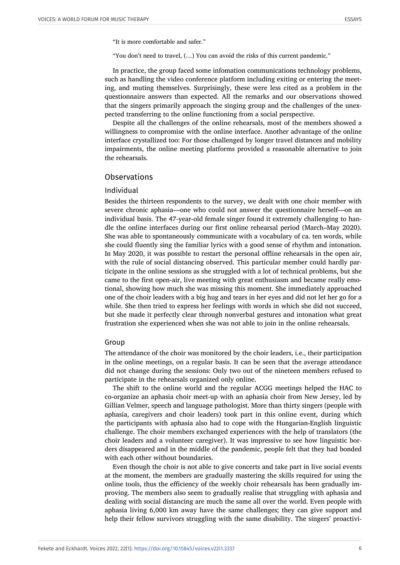"It is more comfortable and safer."

"You don't need to travel, (…) You can avoid the risks of this current pandemic."

In practice, the group faced some infomation communications technology problems, such as handling the video conference platform including exiting or entering the meeting, and muting themselves. Surprisingly, these were less cited as a problem in the questionnaire answers than expected. All the remarks and our observations showed that the singers primarily approach the singing group and the challenges of the unexpected transferring to the online functioning from a social perspective.

Despite all the challenges of the online rehearsals, most of the members showed a willingness to compromise with the online interface. Another advantage of the online interface crystallized too: For those challenged by longer travel distances and mobility impairments, the online meeting platforms provided a reasonable alternative to join the rehearsals.

## **Observations**

#### Individual

Besides the thirteen respondents to the survey, we dealt with one choir member with severe chronic aphasia––one who could not answer the questionnaire herself––on an individual basis. The 47-year-old female singer found it extremely challenging to handle the online interfaces during our first online rehearsal period (March–May 2020). She was able to spontaneously communicate with a vocabulary of ca. ten words, while she could fluently sing the familiar lyrics with a good sense of rhythm and intonation. In May 2020, it was possible to restart the personal offline rehearsals in the open air, with the rule of social distancing observed. This particular member could hardly participate in the online sessions as she struggled with a lot of technical problems, but she came to the first open-air, live meeting with great enthusiasm and became really emotional, showing how much she was missing this moment. She immediately approached one of the choir leaders with a big hug and tears in her eyes and did not let her go for a while. She then tried to express her feelings with words in which she did not succeed, but she made it perfectly clear through nonverbal gestures and intonation what great frustration she experienced when she was not able to join in the online rehearsals.

#### Group

The attendance of the choir was monitored by the choir leaders, i.e., their participation in the online meetings, on a regular basis. It can be seen that the average attendance did not change during the sessions: Only two out of the nineteen members refused to participate in the rehearsals organized only online.

The shift to the online world and the regular ACGG meetings helped the HAC to co-organize an aphasia choir meet-up with an aphasia choir from New Jersey, led by Gillian Velmer, speech and language pathologist. More than thirty singers (people with aphasia, caregivers and choir leaders) took part in this online event, during which the participants with aphasia also had to cope with the Hungarian-English linguistic challenge. The choir members exchanged experiences with the help of translators (the choir leaders and a volunteer caregiver). It was impressive to see how linguistic borders disappeared and in the middle of the pandemic, people felt that they had bonded with each other without boundaries.

Even though the choir is not able to give concerts and take part in live social events at the moment, the members are gradually mastering the skills required for using the online tools, thus the efficiency of the weekly choir rehearsals has been gradually improving. The members also seem to gradually realise that struggling with aphasia and dealing with social distancing are much the same all over the world. Even people with aphasia living 6,000 km away have the same challenges; they can give support and help their fellow survivors struggling with the same disability. The singers' proactivi-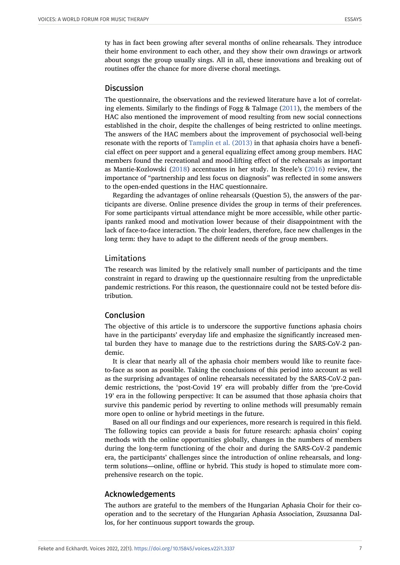ty has in fact been growing after several months of online rehearsals. They introduce their home environment to each other, and they show their own drawings or artwork about songs the group usually sings. All in all, these innovations and breaking out of routines offer the chance for more diverse choral meetings.

#### **Discussion**

The questionnaire, the observations and the reviewed literature have a lot of correlating elements. Similarly to the findings of Fogg & Talmage [\(2011\)](#page-7-3), the members of the HAC also mentioned the improvement of mood resulting from new social connections established in the choir, despite the challenges of being restricted to online meetings. The answers of the HAC members about the improvement of psychosocial well-being resonate with the reports of [Tamplin et al. \(2013\)](#page-8-5) in that aphasia choirs have a beneficial effect on peer support and a general equalizing effect among group members. HAC members found the recreational and mood-lifting effect of the rehearsals as important as Mantie-Kozlowski ([2018](#page-7-5)) accentuates in her study. In Steele's [\(2016](#page-8-8)) review, the importance of "partnership and less focus on diagnosis" was reflected in some answers to the open-ended questions in the HAC questionnaire.

Regarding the advantages of online rehearsals (Question 5), the answers of the participants are diverse. Online presence divides the group in terms of their preferences. For some participants virtual attendance might be more accessible, while other participants ranked mood and motivation lower because of their disappointment with the lack of face-to-face interaction. The choir leaders, therefore, face new challenges in the long term: they have to adapt to the different needs of the group members.

## Limitations

The research was limited by the relatively small number of participants and the time constraint in regard to drawing up the questionnaire resulting from the unpredictable pandemic restrictions. For this reason, the questionnaire could not be tested before distribution.

## Conclusion

The objective of this article is to underscore the supportive functions aphasia choirs have in the participants' everyday life and emphasize the significantly increased mental burden they have to manage due to the restrictions during the SARS-CoV-2 pandemic.

It is clear that nearly all of the aphasia choir members would like to reunite faceto-face as soon as possible. Taking the conclusions of this period into account as well as the surprising advantages of online rehearsals necessitated by the SARS-CoV-2 pandemic restrictions, the 'post-Covid 19' era will probably differ from the 'pre-Covid 19' era in the following perspective: It can be assumed that those aphasia choirs that survive this pandemic period by reverting to online methods will presumably remain more open to online or hybrid meetings in the future.

Based on all our findings and our experiences, more research is required in this field. The following topics can provide a basis for future research: aphasia choirs' coping methods with the online opportunities globally, changes in the numbers of members during the long-term functioning of the choir and during the SARS-CoV-2 pandemic era, the participants' challenges since the introduction of online rehearsals, and longterm solutions––online, offline or hybrid. This study is hoped to stimulate more comprehensive research on the topic.

#### Acknowledgements

The authors are grateful to the members of the Hungarian Aphasia Choir for their cooperation and to the secretary of the Hungarian Aphasia Association, Zsuzsanna Dallos, for her continuous support towards the group.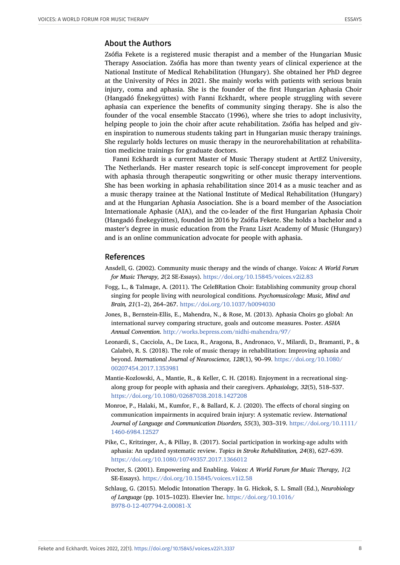#### About the Authors

Zsófia Fekete is a registered music therapist and a member of the Hungarian Music Therapy Association. Zsófia has more than twenty years of clinical experience at the National Institute of Medical Rehabilitation (Hungary). She obtained her PhD degree at the University of Pécs in 2021. She mainly works with patients with serious brain injury, coma and aphasia. She is the founder of the first Hungarian Aphasia Choir (Hangadó Énekegyüttes) with Fanni Eckhardt, where people struggling with severe aphasia can experience the benefits of community singing therapy. She is also the founder of the vocal ensemble Staccato (1996), where she tries to adopt inclusivity, helping people to join the choir after acute rehabilitation. Zsófia has helped and given inspiration to numerous students taking part in Hungarian music therapy trainings. She regularly holds lectures on music therapy in the neurorehabilitation at rehabilitation medicine trainings for graduate doctors.

Fanni Eckhardt is a current Master of Music Therapy student at ArtEZ University, The Netherlands. Her master research topic is self-concept improvement for people with aphasia through therapeutic songwriting or other music therapy interventions. She has been working in aphasia rehabilitation since 2014 as a music teacher and as a music therapy trainee at the National Institute of Medical Rehabilitation (Hungary) and at the Hungarian Aphasia Association. She is a board member of the Association Internationale Aphasie (AIA), and the co-leader of the first Hungarian Aphasia Choir (Hangadó Énekegyüttes), founded in 2016 by Zsófia Fekete. She holds a bachelor and a master's degree in music education from the Franz Liszt Academy of Music (Hungary) and is an online communication advocate for people with aphasia.

#### References

- <span id="page-7-2"></span>Ansdell, G. (2002). Community music therapy and the winds of change. *Voices: A World Forum for Music Therapy, 2*(2 SE-Essays). <https://doi.org/10.15845/voices.v2i2.83>
- <span id="page-7-3"></span>Fogg, L., & Talmage, A. (2011). The CeleBRation Choir: Establishing community group choral singing for people living with neurological conditions. *Psychomusicology: Music, Mind and Brain, 21*(1–2), 264–267. <https://doi.org/10.1037/h0094030>
- <span id="page-7-7"></span>Jones, B., Bernstein-Ellis, E., Mahendra, N., & Rose, M. (2013). Aphasia Choirs go global: An international survey comparing structure, goals and outcome measures. Poster. *ASHA Annual Convention*. <http://works.bepress.com/nidhi-mahendra/97/>
- <span id="page-7-0"></span>Leonardi, S., Cacciola, A., De Luca, R., Aragona, B., Andronaco, V., Milardi, D., Bramanti, P., & Calabrò, R. S. (2018). The role of music therapy in rehabilitation: Improving aphasia and beyond. *International Journal of Neuroscience, 128*(1), 90–99. [https://doi.org/10.1080/](https://doi.org/10.1080/00207454.2017.1353981) [00207454.2017.1353981](https://doi.org/10.1080/00207454.2017.1353981)
- <span id="page-7-5"></span>Mantie-Kozlowski, A., Mantie, R., & Keller, C. H. (2018). Enjoyment in a recreational singalong group for people with aphasia and their caregivers. *Aphasiology, 32*(5), 518–537. <https://doi.org/10.1080/02687038.2018.1427208>
- <span id="page-7-4"></span>Monroe, P., Halaki, M., Kumfor, F., & Ballard, K. J. (2020). The effects of choral singing on communication impairments in acquired brain injury: A systematic review. *International Journal of Language and Communication Disorders, 55*(3), 303–319. [https://doi.org/10.1111/](https://doi.org/10.1111/1460-6984.12527) [1460-6984.12527](https://doi.org/10.1111/1460-6984.12527)
- <span id="page-7-8"></span>Pike, C., Kritzinger, A., & Pillay, B. (2017). Social participation in working-age adults with aphasia: An updated systematic review. *Topics in Stroke Rehabilitation, 24*(8), 627–639. <https://doi.org/10.1080/10749357.2017.1366012>
- <span id="page-7-6"></span>Procter, S. (2001). Empowering and Enabling. *Voices: A World Forum for Music Therapy, 1*(2 SE-Essays). <https://doi.org/10.15845/voices.v1i2.58>
- <span id="page-7-1"></span>Schlaug, G. (2015). Melodic Intonation Therapy. In G. Hickok, S. L. Small (Ed.), *Neurobiology of Language* (pp. 1015–1023). Elsevier Inc. [https://doi.org/10.1016/](https://doi.org/10.1016/B978-0-12-407794-2.00081-X) [B978-0-12-407794-2.00081-X](https://doi.org/10.1016/B978-0-12-407794-2.00081-X)